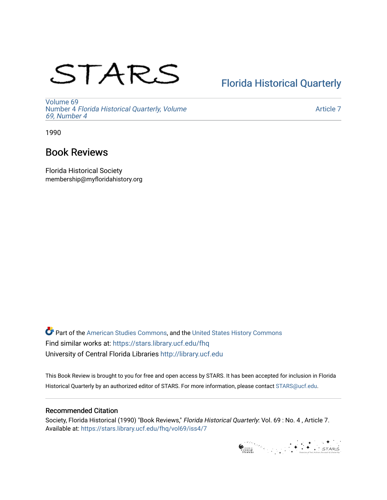# STARS

# [Florida Historical Quarterly](https://stars.library.ucf.edu/fhq)

[Volume 69](https://stars.library.ucf.edu/fhq/vol69) Number 4 [Florida Historical Quarterly, Volume](https://stars.library.ucf.edu/fhq/vol69/iss4)  [69, Number 4](https://stars.library.ucf.edu/fhq/vol69/iss4)

[Article 7](https://stars.library.ucf.edu/fhq/vol69/iss4/7) 

1990

# Book Reviews

Florida Historical Society membership@myfloridahistory.org

**C** Part of the [American Studies Commons](http://network.bepress.com/hgg/discipline/439?utm_source=stars.library.ucf.edu%2Ffhq%2Fvol69%2Fiss4%2F7&utm_medium=PDF&utm_campaign=PDFCoverPages), and the United States History Commons Find similar works at: <https://stars.library.ucf.edu/fhq> University of Central Florida Libraries [http://library.ucf.edu](http://library.ucf.edu/) 

This Book Review is brought to you for free and open access by STARS. It has been accepted for inclusion in Florida Historical Quarterly by an authorized editor of STARS. For more information, please contact [STARS@ucf.edu.](mailto:STARS@ucf.edu)

# Recommended Citation

Society, Florida Historical (1990) "Book Reviews," Florida Historical Quarterly: Vol. 69 : No. 4 , Article 7. Available at: [https://stars.library.ucf.edu/fhq/vol69/iss4/7](https://stars.library.ucf.edu/fhq/vol69/iss4/7?utm_source=stars.library.ucf.edu%2Ffhq%2Fvol69%2Fiss4%2F7&utm_medium=PDF&utm_campaign=PDFCoverPages) 

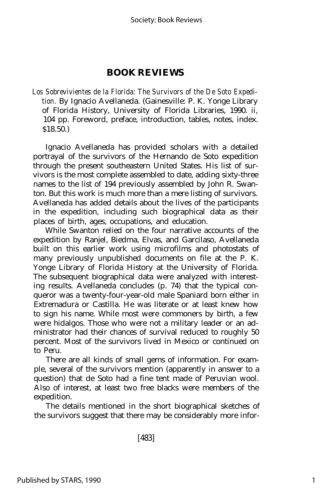*Los Sobrevivientes de la Florida: The Survivors of the De Soto Expedition.* By Ignacio Avellaneda. (Gainesville: P. K. Yonge Library of Florida History, University of Florida Libraries, 1990. ii, 104 pp. Foreword, preface, introduction, tables, notes, index. \$18.50.)

Ignacio Avellaneda has provided scholars with a detailed portrayal of the survivors of the Hernando de Soto expedition through the present southeastern United States. His list of survivors is the most complete assembled to date, adding sixty-three names to the list of 194 previously assembled by John R. Swanton. But this work is much more than a mere listing of survivors. Avellaneda has added details about the lives of the participants in the expedition, including such biographical data as their places of birth, ages, occupations, and education.

While Swanton relied on the four narrative accounts of the expedition by Ranjel, Biedma, Elvas, and Garcilaso, Avellaneda built on this earlier work using microfilms and photostats of many previously unpublished documents on file at the P. K. Yonge Library of Florida History at the University of Florida. The subsequent biographical data were analyzed with interesting results. Avellaneda concludes (p. 74) that the typical conqueror was a twenty-four-year-old male Spaniard born either in Extremadura or Castilla. He was literate or at least knew how to sign his name. While most were commoners by birth, a few were hidalgos. Those who were not a military leader or an administrator had their chances of survival reduced to roughly 50 percent. Most of the survivors lived in Mexico or continued on to Peru.

There are all kinds of small gems of information. For example, several of the survivors mention (apparently in answer to a question) that de Soto had a fine tent made of Peruvian wool. Also of interest, at least two free blacks were members of the expedition.

The details mentioned in the short biographical sketches of the survivors suggest that there may be considerably more infor-

[483]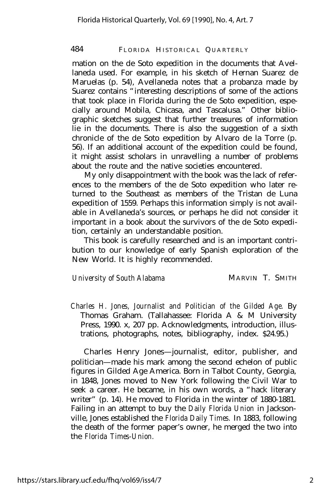mation on the de Soto expedition in the documents that Avellaneda used. For example, in his sketch of Hernan Suarez de Maruelas (p. 54), Avellaneda notes that a probanza made by Suarez contains "interesting descriptions of some of the actions that took place in Florida during the de Soto expedition, especially around Mobila, Chicasa, and Tascalusa." Other bibliographic sketches suggest that further treasures of information lie in the documents. There is also the suggestion of a sixth chronicle of the de Soto expedition by Alvaro de la Torre (p. 56). If an additional account of the expedition could be found, it might assist scholars in unravelling a number of problems about the route and the native societies encountered.

My only disappointment with the book was the lack of references to the members of the de Soto expedition who later returned to the Southeast as members of the Tristan de Luna expedition of 1559. Perhaps this information simply is not available in Avellaneda's sources, or perhaps he did not consider it important in a book about the survivors of the de Soto expedition, certainly an understandable position.

This book is carefully researched and is an important contribution to our knowledge of early Spanish exploration of the New World. It is highly recommended.

*University of South Alabama* MARVIN T. SMITH

*Charles H. Jones, Journalist and Politician of the Gilded Age.* By Thomas Graham. (Tallahassee: Florida A & M University Press, 1990. x, 207 pp. Acknowledgments, introduction, illustrations, photographs, notes, bibliography, index. \$24.95.)

Charles Henry Jones— journalist, editor, publisher, and politician— made his mark among the second echelon of public figures in Gilded Age America. Born in Talbot County, Georgia, in 1848, Jones moved to New York following the Civil War to seek a career. He became, in his own words, a "hack literary writer" (p. 14). He moved to Florida in the winter of 1880-1881. Failing in an attempt to buy the *Daily Florida Union* in Jacksonville, Jones established the *Florida Daily Times.* In 1883, following the death of the former paper's owner, he merged the two into the *Florida Times-Union.*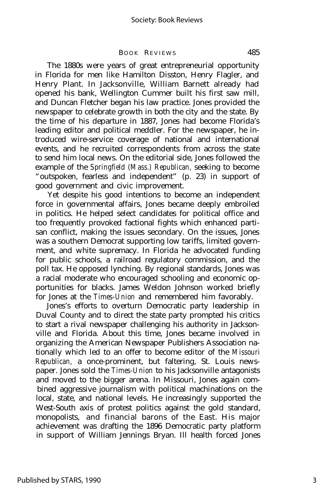The 1880s were years of great entrepreneurial opportunity in Florida for men like Hamilton Disston, Henry Flagler, and Henry Plant. In Jacksonville, William Barnett already had opened his bank, Wellington Cummer built his first saw mill, and Duncan Fletcher began his law practice. Jones provided the newspaper to celebrate growth in both the city and the state. By the time of his departure in 1887, Jones had become Florida's leading editor and political meddler. For the newspaper, he introduced wire-service coverage of national and international events, and he recruited correspondents from across the state to send him local news. On the editorial side, Jones followed the example of the *Springfield (Mass.) Republican,* seeking to become "outspoken, fearless and independent" (p. 23) in support of good government and civic improvement.

Yet despite his good intentions to become an independent force in governmental affairs, Jones became deeply embroiled in politics. He helped select candidates for political office and too frequently provoked factional fights which enhanced partisan conflict, making the issues secondary. On the issues, Jones was a southern Democrat supporting low tariffs, limited government, and white supremacy. In Florida he advocated funding for public schools, a railroad regulatory commission, and the poll tax. He opposed lynching. By regional standards, Jones was a racial moderate who encouraged schooling and economic opportunities for blacks. James Weldon Johnson worked briefly for Jones at the *Times-Union* and remembered him favorably.

Jones's efforts to overturn Democratic party leadership in Duval County and to direct the state party prompted his critics to start a rival newspaper challenging his authority in Jacksonville and Florida. About this time, Jones became involved in organizing the American Newspaper Publishers Association nationally which led to an offer to become editor of the *Missouri Republican,* a once-prominent, but faltering, St. Louis newspaper. Jones sold the *Times-Union* to his Jacksonville antagonists and moved to the bigger arena. In Missouri, Jones again combined aggressive journalism with political machinations on the local, state, and national levels. He increasingly supported the West-South axis of protest politics against the gold standard, monopolists, and financial barons of the East. His major achievement was drafting the 1896 Democratic party platform in support of William Jennings Bryan. Ill health forced Jones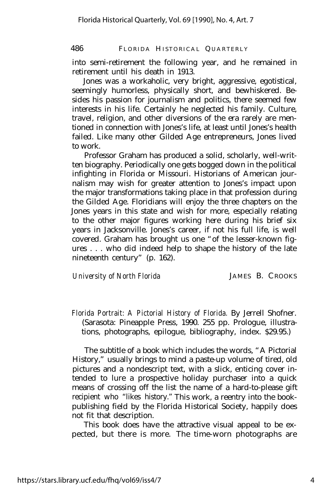into semi-retirement the following year, and he remained in retirement until his death in 1913.

Jones was a workaholic, very bright, aggressive, egotistical, seemingly humorless, physically short, and bewhiskered. Besides his passion for journalism and politics, there seemed few interests in his life. Certainly he neglected his family. Culture, travel, religion, and other diversions of the era rarely are mentioned in connection with Jones's life, at least until Jones's health failed. Like many other Gilded Age entrepreneurs, Jones lived to work.

Professor Graham has produced a solid, scholarly, well-written biography. Periodically one gets bogged down in the political infighting in Florida or Missouri. Historians of American journalism may wish for greater attention to Jones's impact upon the major transformations taking place in that profession during the Gilded Age. Floridians will enjoy the three chapters on the Jones years in this state and wish for more, especially relating to the other major figures working here during his brief six years in Jacksonville. Jones's career, if not his full life, is well covered. Graham has brought us one "of the lesser-known figures . . . who did indeed help to shape the history of the late nineteenth century" (p. 162).

*University of North Florida* JAMES B. CROOKS

*Florida Portrait: A Pictorial History of Florida.* By Jerrell Shofner. (Sarasota: Pineapple Press, 1990. 255 pp. Prologue, illustrations, photographs, epilogue, bibliography, index. \$29.95.)

The subtitle of a book which includes the words, "A Pictorial History," usually brings to mind a paste-up volume of tired, old pictures and a nondescript text, with a slick, enticing cover intended to lure a prospective holiday purchaser into a quick means of crossing off the list the name of a hard-to-please gift recipient who "likes history." This work, a reentry into the bookpublishing field by the Florida Historical Society, happily does not fit that description.

This book does have the attractive visual appeal to be expected, but there is more. The time-worn photographs are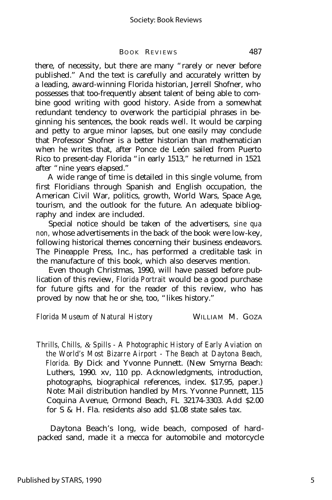there, of necessity, but there are many "rarely or never before published." And the text is carefully and accurately written by a leading, award-winning Florida historian, Jerrell Shofner, who possesses that too-frequently absent talent of being able to combine good writing with good history. Aside from a somewhat redundant tendency to overwork the participial phrases in beginning his sentences, the book reads well. It would be carping and petty to argue minor lapses, but one easily may conclude that Professor Shofner is a better historian than mathematician when he writes that, after Ponce de León sailed from Puerto Rico to present-day Florida "in early 1513," he returned in 1521 after "nine years elapsed."

A wide range of time is detailed in this single volume, from first Floridians through Spanish and English occupation, the American Civil War, politics, growth, World Wars, Space Age, tourism, and the outlook for the future. An adequate bibliography and index are included.

Special notice should be taken of the advertisers, *sine qua non,* whose advertisements in the back of the book were low-key, following historical themes concerning their business endeavors. The Pineapple Press, Inc., has performed a creditable task in the manufacture of this book, which also deserves mention.

Even though Christmas, 1990, will have passed before publication of this review, *Florida Portrait* would be a good purchase for future gifts and for the reader of this review, who has proved by now that he or she, too, "likes history."

# *Florida Museum of Natural History* WILLIAM M. GOZA

*Thrills, Chills, & Spills - A Photographic History of Early Aviation on the World's Most Bizarre Airport - The Beach at Daytona Beach, Florida.* By Dick and Yvonne Punnett. (New Smyrna Beach: Luthers, 1990. xv, 110 pp. Acknowledgments, introduction, photographs, biographical references, index. \$17.95, paper.) Note: Mail distribution handled by Mrs. Yvonne Punnett, 115 Coquina Avenue, Ormond Beach, FL 32174-3303. Add \$2.00 for S & H. Fla. residents also add \$1.08 state sales tax.

Daytona Beach's long, wide beach, composed of hardpacked sand, made it a mecca for automobile and motorcycle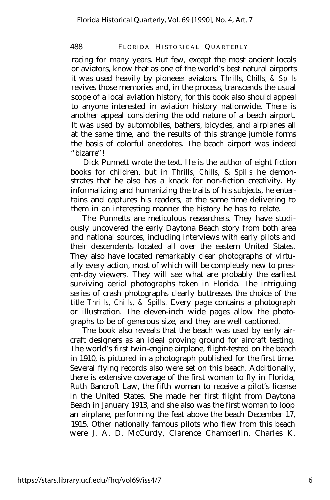racing for many years. But few, except the most ancient locals or aviators, know that as one of the world's best natural airports it was used heavily by pioneeer aviators. *Thrills, Chills, & Spills* revives those memories and, in the process, transcends the usual scope of a local aviation history, for this book also should appeal to anyone interested in aviation history nationwide. There is another appeal considering the odd nature of a beach airport. It was used by automobiles, bathers, bicycles, and airplanes all at the same time, and the results of this strange jumble forms the basis of colorful anecdotes. The beach airport was indeed "bizarre"!

Dick Punnett wrote the text. He is the author of eight fiction books for children, but in *Thrills, Chills,* & *Spills* he demonstrates that he also has a knack for non-fiction creativity. By informalizing and humanizing the traits of his subjects, he entertains and captures his readers, at the same time delivering to them in an interesting manner the history he has to relate.

The Punnetts are meticulous researchers. They have studiously uncovered the early Daytona Beach story from both area and national sources, including interviews with early pilots and their descendents located all over the eastern United States. They also have located remarkably clear photographs of virtually every action, most of which will be completely new to present-day viewers. They will see what are probably the earliest surviving aerial photographs taken in Florida. The intriguing series of crash photographs clearly buttresses the choice of the title *Thrills, Chills, & Spills.* Every page contains a photograph or illustration. The eleven-inch wide pages allow the photographs to be of generous size, and they are well captioned.

The book also reveals that the beach was used by early aircraft designers as an ideal proving ground for aircraft testing. The world's first twin-engine airplane, flight-tested on the beach in 1910, is pictured in a photograph published for the first time. Several flying records also were set on this beach. Additionally, there is extensive coverage of the first woman to fly in Florida, Ruth Bancroft Law, the fifth woman to receive a pilot's license in the United States. She made her first flight from Daytona Beach in January 1913, and she also was the first woman to loop an airplane, performing the feat above the beach December 17, 1915. Other nationally famous pilots who flew from this beach were J. A. D. McCurdy, Clarence Chamberlin, Charles K.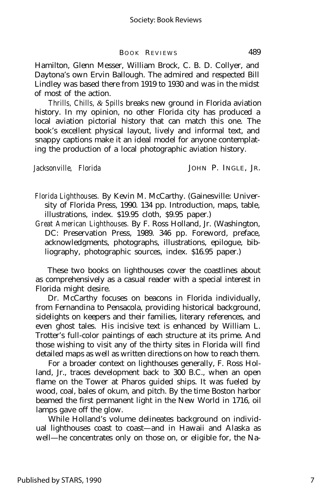Hamilton, Glenn Messer, William Brock, C. B. D. Collyer, and Daytona's own Ervin Ballough. The admired and respected Bill Lindley was based there from 1919 to 1930 and was in the midst of most of the action.

*Thrills, Chills, & Spills* breaks new ground in Florida aviation history. In my opinion, no other Florida city has produced a local aviation pictorial history that can match this one. The book's excellent physical layout, lively and informal text, and snappy captions make it an ideal model for anyone contemplating the production of a local photographic aviation history.

*Jacksonville, Florida* JOHN P. INGLE, JR.

*Florida Lighthouses.* By Kevin M. McCarthy. (Gainesville: University of Florida Press, 1990. 134 pp. Introduction, maps, table, illustrations, index. \$19.95 cloth, \$9.95 paper.)

*Great American Lighthouses.* By F. Ross Holland, Jr. (Washington, DC: Preservation Press, 1989. 346 pp. Foreword, preface, acknowledgments, photographs, illustrations, epilogue, bibliography, photographic sources, index. \$16.95 paper.)

These two books on lighthouses cover the coastlines about as comprehensively as a casual reader with a special interest in Florida might desire.

Dr. McCarthy focuses on beacons in Florida individually, from Fernandina to Pensacola, providing historical background, sidelights on keepers and their families, literary references, and even ghost tales. His incisive text is enhanced by William L. Trotter's full-color paintings of each structure at its prime. And those wishing to visit any of the thirty sites in Florida will find detailed maps as well as written directions on how to reach them.

For a broader context on lighthouses generally, F. Ross Holland, Jr., traces development back to 300 B.C., when an open flame on the Tower at Pharos guided ships. It was fueled by wood, coal, bales of okum, and pitch. By the time Boston harbor beamed the first permanent light in the New World in 1716, oil lamps gave off the glow.

While Holland's volume delineates background on individual lighthouses coast to coast— and in Hawaii and Alaska as well— he concentrates only on those on, or eligible for, the Na-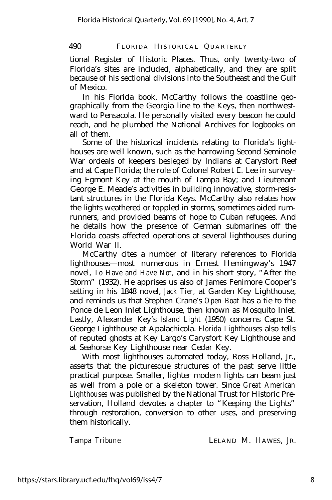tional Register of Historic Places. Thus, only twenty-two of Florida's sites are included, alphabetically, and they are split because of his sectional divisions into the Southeast and the Gulf of Mexico.

In his Florida book, McCarthy follows the coastline geographically from the Georgia line to the Keys, then northwestward to Pensacola. He personally visited every beacon he could reach, and he plumbed the National Archives for logbooks on all of them.

Some of the historical incidents relating to Florida's lighthouses are well known, such as the harrowing Second Seminole War ordeals of keepers besieged by Indians at Carysfort Reef and at Cape Florida; the role of Colonel Robert E. Lee in surveying Egmont Key at the mouth of Tampa Bay; and Lieutenant George E. Meade's activities in building innovative, storm-resistant structures in the Florida Keys. McCarthy also relates how the lights weathered or toppled in storms, sometimes aided rumrunners, and provided beams of hope to Cuban refugees. And he details how the presence of German submarines off the Florida coasts affected operations at several lighthouses during World War II.

McCarthy cites a number of literary references to Florida lighthouses— most numerous in Ernest Hemingway's 1947 novel, *To Have and Have Not,* and in his short story, "After the Storm" (1932). He apprises us also of James Fenimore Cooper's setting in his 1848 novel, *Jack Tier,* at Garden Key Lighthouse, and reminds us that Stephen Crane's *Open Boat* has a tie to the Ponce de Leon Inlet Lighthouse, then known as Mosquito Inlet. Lastly, Alexander Key's *Island Light* (1950) concerns Cape St. George Lighthouse at Apalachicola. *Florida Lighthouses* also tells of reputed ghosts at Key Largo's Carysfort Key Lighthouse and at Seahorse Key Lighthouse near Cedar Key.

With most lighthouses automated today, Ross Holland, Jr., asserts that the picturesque structures of the past serve little practical purpose. Smaller, lighter modern lights can beam just as well from a pole or a skeleton tower. Since *Great American Lighthouses* was published by the National Trust for Historic Preservation, Holland devotes a chapter to "Keeping the Lights" through restoration, conversion to other uses, and preserving them historically.

*Tampa Tribune* LELAND M. HAWES, JR.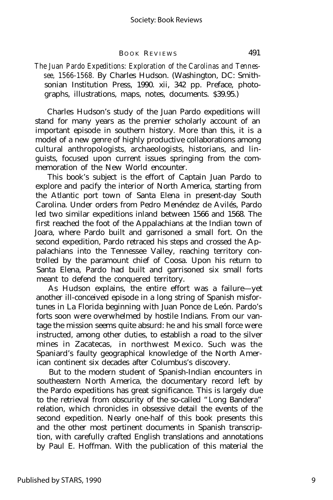*The Juan Pardo Expeditions: Exploration of the Carolinas and Tennessee, 1566-1568.* By Charles Hudson. (Washington, DC: Smithsonian Institution Press, 1990. xii, 342 pp. Preface, photographs, illustrations, maps, notes, documents. \$39.95.)

Charles Hudson's study of the Juan Pardo expeditions will stand for many years as the premier scholarly account of an important episode in southern history. More than this, it is a model of a new genre of highly productive collaborations among cultural anthropologists, archaeologists, historians, and linguists, focused upon current issues springing from the commemoration of the New World encounter.

This book's subject is the effort of Captain Juan Pardo to explore and pacify the interior of North America, starting from the Atlantic port town of Santa Elena in present-day South Carolina. Under orders from Pedro Menéndez de Avilés, Pardo led two similar expeditions inland between 1566 and 1568. The first reached the foot of the Appalachians at the Indian town of Joara, where Pardo built and garrisoned a small fort. On the second expedition, Pardo retraced his steps and crossed the Appalachians into the Tennessee Valley, reaching territory controlled by the paramount chief of Coosa. Upon his return to Santa Elena, Pardo had built and garrisoned six small forts meant to defend the conquered territory.

As Hudson explains, the entire effort was a failure— yet another ill-conceived episode in a long string of Spanish misfortunes in La Florida beginning with Juan Ponce de León. Pardo's forts soon were overwhelmed by hostile Indians. From our vantage the mission seems quite absurd: he and his small force were instructed, among other duties, to establish a road to the silver mines in Zacatecas, in northwest Mexico. Such was the Spaniard's faulty geographical knowledge of the North American continent six decades after Columbus's discovery.

But to the modern student of Spanish-Indian encounters in southeastern North America, the documentary record left by the Pardo expeditions has great significance. This is largely due to the retrieval from obscurity of the so-called "Long Bandera" relation, which chronicles in obsessive detail the events of the second expedition. Nearly one-half of this book presents this and the other most pertinent documents in Spanish transcription, with carefully crafted English translations and annotations by Paul E. Hoffman. With the publication of this material the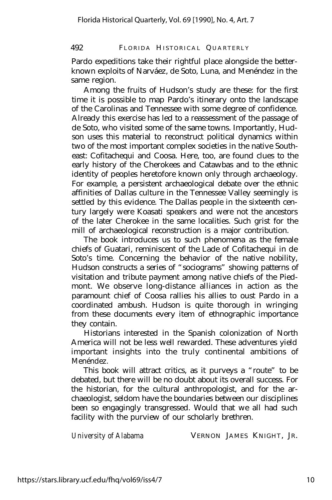Pardo expeditions take their rightful place alongside the betterknown exploits of Narváez, de Soto, Luna, and Menéndez in the same region.

Among the fruits of Hudson's study are these: for the first time it is possible to map Pardo's itinerary onto the landscape of the Carolinas and Tennessee with some degree of confidence. Already this exercise has led to a reassessment of the passage of de Soto, who visited some of the same towns. Importantly, Hudson uses this material to reconstruct political dynamics within two of the most important complex societies in the native Southeast: Cofitachequi and Coosa. Here, too, are found clues to the early history of the Cherokees and Catawbas and to the ethnic identity of peoples heretofore known only through archaeology. For example, a persistent archaeological debate over the ethnic affinities of Dallas culture in the Tennessee Valley seemingly is settled by this evidence. The Dallas people in the sixteenth century largely were Koasati speakers and were not the ancestors of the later Cherokee in the same localities. Such grist for the mill of archaeological reconstruction is a major contribution.

The book introduces us to such phenomena as the female chiefs of Guatari, reminiscent of the Lade of Cofitachequi in de Soto's time. Concerning the behavior of the native nobility, Hudson constructs a series of "sociograms" showing patterns of visitation and tribute payment among native chiefs of the Piedmont. We observe long-distance alliances in action as the paramount chief of Coosa rallies his allies to oust Pardo in a coordinated ambush. Hudson is quite thorough in wringing from these documents every item of ethnographic importance they contain.

Historians interested in the Spanish colonization of North America will not be less well rewarded. These adventures yield important insights into the truly continental ambitions of Menéndez.

This book will attract critics, as it purveys a "route" to be debated, but there will be no doubt about its overall success. For the historian, for the cultural anthropologist, and for the archaeologist, seldom have the boundaries between our disciplines been so engagingly transgressed. Would that we all had such facility with the purview of our scholarly brethren.

*University of Alabama* VERNON JAMES KNIGHT, JR.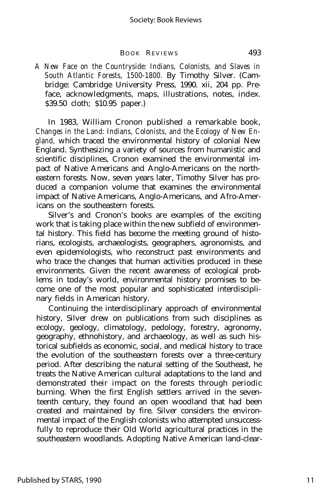*A New Face on the Countryside: Indians, Colonists, and Slaves in South Atlantic Forests, 1500-1800.* By Timothy Silver. (Cambridge: Cambridge University Press, 1990. xii, 204 pp. Preface, acknowledgments, maps, illustrations, notes, index. \$39.50 cloth; \$10.95 paper.)

In 1983, William Cronon published a remarkable book, *Changes in the Land: Indians, Colonists, and the Ecology of New England,* which traced the environmental history of colonial New England. Synthesizing a variety of sources from humanistic and scientific disciplines, Cronon examined the environmental impact of Native Americans and Anglo-Americans on the northeastern forests. Now, seven years later, Timothy Silver has produced a companion volume that examines the environmental impact of Native Americans, Anglo-Americans, and Afro-Americans on the southeastern forests.

Silver's and Cronon's books are examples of the exciting work that is taking place within the new subfield of environmental history. This field has become the meeting ground of historians, ecologists, archaeologists, geographers, agronomists, and even epidemiologists, who reconstruct past environments and who trace the changes that human activities produced in these environments. Given the recent awareness of ecological problems in today's world, environmental history promises to become one of the most popular and sophisticated interdisciplinary fields in American history.

Continuing the interdisciplinary approach of environmental history, Silver drew on publications from such disciplines as ecology, geology, climatology, pedology, forestry, agronomy, geography, ethnohistory, and archaeology, as well as such historical subfields as economic, social, and medical history to trace the evolution of the southeastern forests over a three-century period. After describing the natural setting of the Southeast, he treats the Native American cultural adaptations to the land and demonstrated their impact on the forests through periodic burning. When the first English settlers arrived in the seventeenth century, they found an open woodland that had been created and maintained by fire. Silver considers the environmental impact of the English colonists who attempted unsuccessfully to reproduce their Old World agricultural practices in the southeastern woodlands. Adopting Native American land-clear-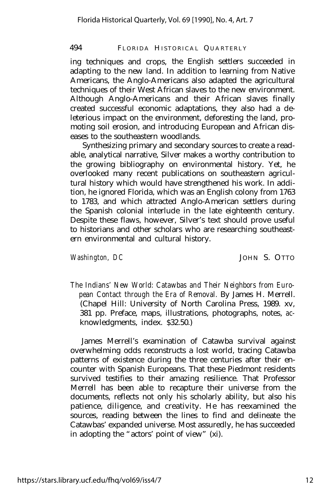ing techniques and crops, the English settlers succeeded in adapting to the new land. In addition to learning from Native Americans, the Anglo-Americans also adapted the agricultural techniques of their West African slaves to the new environment. Although Anglo-Americans and their African slaves finally created successful economic adaptations, they also had a deleterious impact on the environment, deforesting the land, promoting soil erosion, and introducing European and African diseases to the southeastern woodlands.

Synthesizing primary and secondary sources to create a readable, analytical narrative, Silver makes a worthy contribution to the growing bibliography on environmental history. Yet, he overlooked many recent publications on southeastern agricultural history which would have strengthened his work. In addition, he ignored Florida, which was an English colony from 1763 to 1783, and which attracted Anglo-American settlers during the Spanish colonial interlude in the late eighteenth century. Despite these flaws, however, Silver's text should prove useful to historians and other scholars who are researching southeastern environmental and cultural history.

*Washington, DC* JOHN S. OTTO

*The Indians' New World: Catawbas and Their Neighbors from European Contact through the Era of Removal.* By James H. Merrell. (Chapel Hill: University of North Carolina Press, 1989. xv, 381 pp. Preface, maps, illustrations, photographs, notes, *ac*knowledgments, index. \$32.50.)

James Merrell's examination of Catawba survival against overwhelming odds reconstructs a lost world, tracing Catawba patterns of existence during the three centuries after their encounter with Spanish Europeans. That these Piedmont residents survived testifies to their amazing resilience. That Professor Merrell has been able to recapture their universe from the documents, reflects not only his scholarly ability, but also his patience, diligence, and creativity. He has reexamined the sources, reading between the lines to find and delineate the Catawbas' expanded universe. Most assuredly, he has succeeded in adopting the "actors' point of view" (xi).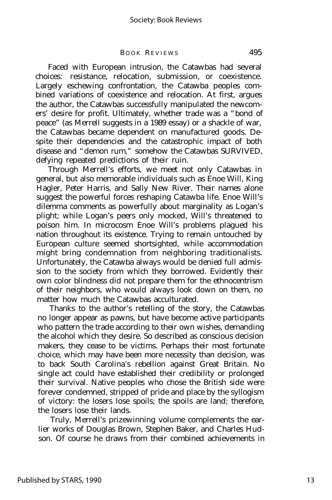Faced with European intrusion, the Catawbas had several choices: resistance, relocation, submission, or coexistence. Largely eschewing confrontation, the Catawba peoples combined variations of coexistence and relocation. At first, argues the author, the Catawbas successfully manipulated the newcomers' desire for profit. Ultimately, whether trade was a "bond of peace" (as Merrell suggests in a 1989 essay) or a shackle of war, the Catawbas became dependent on manufactured goods. Despite their dependencies and the catastrophic impact of both disease and "demon rum," somehow the Catawbas SURVIVED, defying repeated predictions of their ruin.

Through Merrell's efforts, we meet not only Catawbas in general, but also memorable individuals such as Enoe Will, King Hagler, Peter Harris, and Sally New River. Their names alone suggest the powerful forces reshaping Catawba life. Enoe Will's dilemma comments as powerfully about marginality as Logan's plight; while Logan's peers only mocked, Will's threatened to poison him. In microcosm Enoe Will's problems plagued his nation throughout its existence. Trying to remain untouched by European culture seemed shortsighted, while accommodation might bring condemnation from neighboring traditionalists. Unfortunately, the Catawba always would be denied full admission to the society from which they borrowed. Evidently their own color blindness did not prepare them for the ethnocentrism of their neighbors, who would always look down on them, no matter how much the Catawbas acculturated.

Thanks to the author's retelling of the story, the Catawbas no longer appear as pawns, but have become active participants who pattern the trade according to their own wishes, demanding the alcohol which they desire. So described as conscious decision makers, they cease to be victims. Perhaps their most fortunate choice, which may have been more necessity than decision, was to back South Carolina's rebellion against Great Britain. No single act could have established their credibility or prolonged their survival. Native peoples who chose the British side were forever condemned, stripped of pride and place by the syllogism of victory: the losers lose spoils; the spoils are land; therefore, the losers lose their lands.

Truly, Merrell's prizewinning volume complements the earlier works of Douglas Brown, Stephen Baker, and Charles Hudson. Of course he draws from their combined achievements in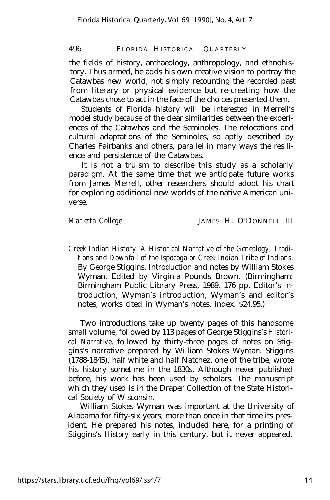the fields of history, archaeology, anthropology, and ethnohistory. Thus armed, he adds his own creative vision to portray the Catawbas new world, not simply recounting the recorded past from literary or physical evidence but re-creating how the Catawbas chose to act in the face of the choices presented them.

Students of Florida history will be interested in Merrell's model study because of the clear similarities between the experiences of the Catawbas and the Seminoles. The relocations and cultural adaptations of the Seminoles, so aptly described by Charles Fairbanks and others, parallel in many ways the resilience and persistence of the Catawbas.

It is not a truism to describe this study as a scholarly paradigm. At the same time that we anticipate future works from James Merrell, other researchers should adopt his chart for exploring additional new worlds of the native American universe.

# *Marietta College* JAMES H. O'DONNELL III

*Creek Indian History: A Historical Narrative of the Genealogy, Traditions and Downfall of the Ispocoga or Creek Indian Tribe of Indians.* By George Stiggins. Introduction and notes by William Stokes Wyman. Edited by Virginia Pounds Brown. (Birmingham: Birmingham Public Library Press, 1989. 176 pp. Editor's introduction, Wyman's introduction, Wyman's and editor's notes, works cited in Wyman's notes, index. \$24.95.)

Two introductions take up twenty pages of this handsome small volume, followed by 113 pages of George Stiggins's *Historical Narrative,* followed by thirty-three pages of notes on Stiggins's narrative prepared by William Stokes Wyman. Stiggins (1788-1845), half white and half Natchez, one of the tribe, wrote his history sometime in the 1830s. Although never published before, his work has been used by scholars. The manuscript which they used is in the Draper Collection of the State Historical Society of Wisconsin.

William Stokes Wyman was important at the University of Alabama for fifty-six years, more than once in that time its president. He prepared his notes, included here, for a printing of Stiggins's *History* early in this century, but it never appeared.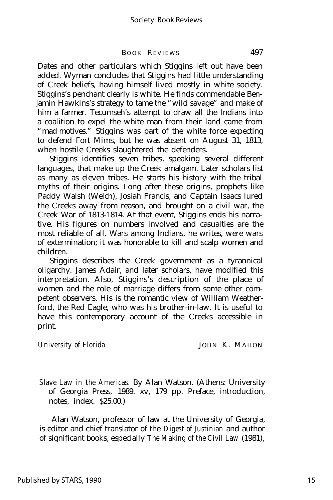Dates and other particulars which Stiggins left out have been added. Wyman concludes that Stiggins had little understanding of Creek beliefs, having himself lived mostly in white society. Stiggins's penchant clearly is white. He finds commendable Benjamin Hawkins's strategy to tame the "wild savage" and make of him a farmer. Tecumseh's attempt to draw all the Indians into a coalition to expel the white man from their land came from "mad motives." Stiggins was part of the white force expecting to defend Fort Mims, but he was absent on August 31, 1813, when hostile Creeks slaughtered the defenders.

Stiggins identifies seven tribes, speaking several different languages, that make up the Creek amalgam. Later scholars list as many as eleven tribes. He starts his history with the tribal myths of their origins. Long after these origins, prophets like Paddy Walsh (Welch), Josiah Francis, and Captain Isaacs lured the Creeks away from reason, and brought on a civil war, the Creek War of 1813-1814. At that event, Stiggins ends his narrative. His figures on numbers involved and casualties are the most reliable of all. Wars among Indians, he writes, were wars of extermination; it was honorable to kill and scalp women and children.

Stiggins describes the Creek government as a tyrannical oligarchy. James Adair, and later scholars, have modified this interpretation. Also, Stiggins's description of the place of women and the role of marriage differs from some other competent observers. His is the romantic view of William Weatherford, the Red Eagle, who was his brother-in-law. It is useful to have this contemporary account of the Creeks accessible in print.

*University of Florida* JOHN K. MAHON

*Slave Law in the Americas.* By Alan Watson. (Athens: University of Georgia Press, 1989. xv, 179 pp. Preface, introduction, notes, index. \$25.00.)

Alan Watson, professor of law at the University of Georgia, is editor and chief translator of the *Digest of Justinian* and author of significant books, especially *The Making of the Civil Law* (1981),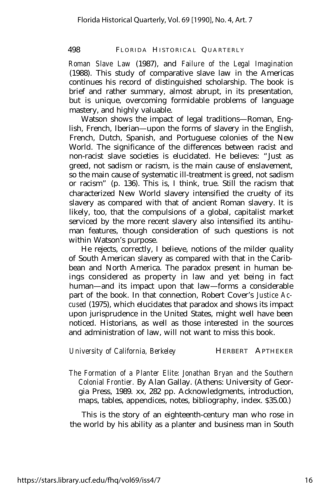*Roman Slave Law* (1987), and *Failure of the Legal Imagination* (1988). This study of comparative slave law in the Americas continues his record of distinguished scholarship. The book is brief and rather summary, almost abrupt, in its presentation, but is unique, overcoming formidable problems of language mastery, and highly valuable.

Watson shows the impact of legal traditions— Roman, English, French, Iberian— upon the forms of slavery in the English, French, Dutch, Spanish, and Portuguese colonies of the New World. The significance of the differences between racist and non-racist slave societies is elucidated. He believes: "Just as greed, not sadism or racism, is the main cause of enslavement, so the main cause of systematic ill-treatment is greed, not sadism or racism" (p. 136). This is, I think, true. Still the racism that characterized New World slavery intensified the cruelty of its slavery as compared with that of ancient Roman slavery. It is likely, too, that the compulsions of a global, capitalist market serviced by the more recent slavery also intensified its antihuman features, though consideration of such questions is not within Watson's purpose.

He rejects, correctly, I believe, notions of the milder quality of South American slavery as compared with that in the Caribbean and North America. The paradox present in human beings considered as property in law and yet being in fact human– and its impact upon that law– forms a considerable part of the book. In that connection, Robert Cover's *Justice Accused* (1975), which elucidates that paradox and shows its impact upon jurisprudence in the United States, might well have been noticed. Historians, as well as those interested in the sources and administration of law, will not want to miss this book.

*University of California, Berkeley* **HERBERT APTHEKER** 

*The Formation of a Planter Elite: Jonathan Bryan and the Southern Colonial Frontier.* By Alan Gallay. (Athens: University of Georgia Press, 1989. xx, 282 pp. Acknowledgments, introduction, maps, tables, appendices, notes, bibliography, index. \$35.00.)

This is the story of an eighteenth-century man who rose in the world by his ability as a planter and business man in South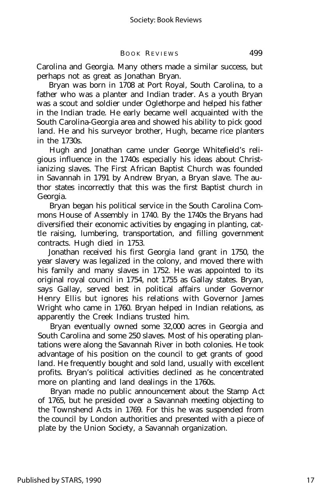Carolina and Georgia. Many others made a similar success, but perhaps not as great as Jonathan Bryan.

Bryan was born in 1708 at Port Royal, South Carolina, to a father who was a planter and Indian trader. As a youth Bryan was a scout and soldier under Oglethorpe and helped his father in the Indian trade. He early became well acquainted with the South Carolina-Georgia area and showed his ability to pick good land. He and his surveyor brother, Hugh, became rice planters in the 1730s.

Hugh and Jonathan came under George Whitefield's religious influence in the 1740s especially his ideas about Christianizing slaves. The First African Baptist Church was founded in Savannah in 1791 by Andrew Bryan, a Bryan slave. The author states incorrectly that this was the first Baptist church in Georgia.

Bryan began his political service in the South Carolina Commons House of Assembly in 1740. By the 1740s the Bryans had diversified their economic activities by engaging in planting, cattle raising, lumbering, transportation, and filling government contracts. Hugh died in 1753.

Jonathan received his first Georgia land grant in 1750, the year slavery was legalized in the colony, and moved there with his family and many slaves in 1752. He was appointed to its original royal council in 1754, not 1755 as Gallay states. Bryan, says Gallay, served best in political affairs under Governor Henry Ellis but ignores his relations with Governor James Wright who came in 1760. Bryan helped in Indian relations, as apparently the Creek Indians trusted him.

Bryan eventually owned some 32,000 acres in Georgia and South Carolina and some 250 slaves. Most of his operating plantations were along the Savannah River in both colonies. He took advantage of his position on the council to get grants of good land. He frequently bought and sold land, usually with excellent profits. Bryan's political activities declined as he concentrated more on planting and land dealings in the 1760s.

Bryan made no public announcement about the Stamp Act of 1765, but he presided over a Savannah meeting objecting to the Townshend Acts in 1769. For this he was suspended from the council by London authorities and presented with a piece of plate by the Union Society, a Savannah organization.

Published by STARS, 1990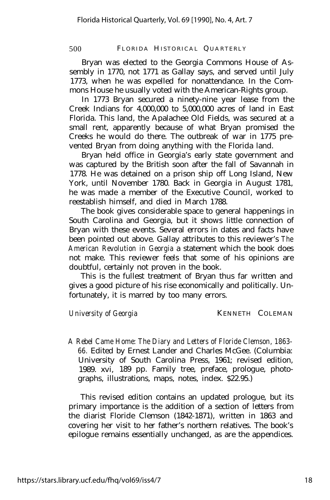Bryan was elected to the Georgia Commons House of Assembly in 1770, not 1771 as Gallay says, and served until July 1773, when he was expelled for nonattendance. In the Commons House he usually voted with the American-Rights group.

In 1773 Bryan secured a ninety-nine year lease from the Creek Indians for 4,000,000 to 5,000,000 acres of land in East Florida. This land, the Apalachee Old Fields, was secured at a small rent, apparently because of what Bryan promised the Creeks he would do there. The outbreak of war in 1775 prevented Bryan from doing anything with the Florida land.

Bryan held office in Georgia's early state government and was captured by the British soon after the fall of Savannah in 1778. He was detained on a prison ship off Long Island, New York, until November 1780. Back in Georgia in August 1781, he was made a member of the Executive Council, worked to reestablish himself, and died in March 1788.

The book gives considerable space to general happenings in South Carolina and Georgia, but it shows little connection of Bryan with these events. Several errors in dates and facts have been pointed out above. Gallay attributes to this reviewer's *The American Revolution in Georgia* a statement which the book does not make. This reviewer feels that some of his opinions are doubtful, certainly not proven in the book.

This is the fullest treatment of Bryan thus far written and gives a good picture of his rise economically and politically. Unfortunately, it is marred by too many errors.

*University of Georgia* KENNETH COLEMAN

*A Rebel Came Home: The Diary and Letters of Floride Clemson, 1863- 66.* Edited by Ernest Lander and Charles McGee. (Columbia: University of South Carolina Press, 1961; revised edition, 1989. xvi, 189 pp. Family tree, preface, prologue, photographs, illustrations, maps, notes, index. \$22.95.)

This revised edition contains an updated prologue, but its primary importance is the addition of a section of letters from the diarist Floride Clemson (1842-1871), written in 1863 and covering her visit to her father's northern relatives. The book's epilogue remains essentially unchanged, as are the appendices.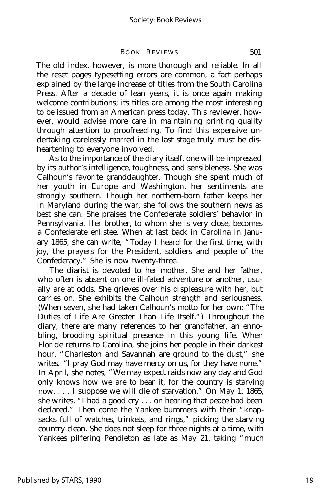The old index, however, is more thorough and reliable. In all the reset pages typesetting errors are common, a fact perhaps explained by the large increase of titles from the South Carolina Press. After a decade of lean years, it is once again making welcome contributions; its titles are among the most interesting to be issued from an American press today. This reviewer, however, would advise more care in maintaining printing quality through attention to proofreading. To find this expensive undertaking carelessly marred in the last stage truly must be disheartening to everyone involved.

As to the importance of the diary itself, one will be impressed by its author's intelligence, toughness, and sensibleness. She was Calhoun's favorite granddaughter. Though she spent much of her youth in Europe and Washington, her sentiments are strongly southern. Though her northern-born father keeps her in Maryland during the war, she follows the southern news as best she can. She praises the Confederate soldiers' behavior in Pennsylvania. Her brother, to whom she is very close, becomes a Confederate enlistee. When at last back in Carolina in January 1865, she can write, "Today I heard for the first time, with joy, the prayers for the President, soldiers and people of the Confederacy." She is now twenty-three.

The diarist is devoted to her mother. She and her father, who often is absent on one ill-fated adventure or another, usually are at odds. She grieves over his displeasure with her, but carries on. She exhibits the Calhoun strength and seriousness. (When seven, she had taken Calhoun's motto for her own: "The Duties of Life Are Greater Than Life Itself.") Throughout the diary, there are many references to her grandfather, an ennobling, brooding spiritual presence in this young life. When Floride returns to Carolina, she joins her people in their darkest hour. "Charleston and Savannah are ground to the dust," she writes. "I pray God may have mercy on us, for they have none." In April, she notes, "We may expect raids now any day and God only knows how we are to bear it, for the country is starving now. . . . I suppose we will die of starvation." On May 1, 1865, she writes, "I had a good cry . . . on hearing that peace had been declared." Then come the Yankee bummers with their "knapsacks full of watches, trinkets, and rings," picking the starving country clean. She does not sleep for three nights at a time, with Yankees pilfering Pendleton as late as May 21, taking "much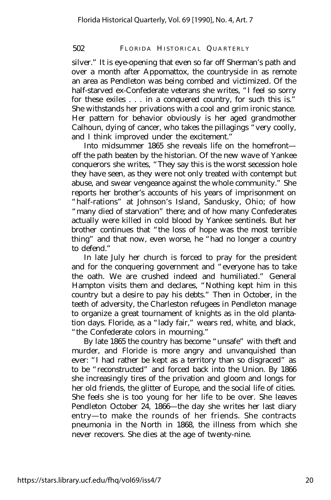silver." It is eye-opening that even so far off Sherman's path and over a month after Appomattox, the countryside in as remote an area as Pendleton was being combed and victimized. Of the half-starved ex-Confederate veterans she writes, "I feel so sorry for these exiles . . . in a conquered country, for such this is." She withstands her privations with a cool and grim ironic stance. Her pattern for behavior obviously is her aged grandmother Calhoun, dying of cancer, who takes the pillagings "very coolly, and I think improved under the excitement."

Into midsummer 1865 she reveals life on the homefront off the path beaten by the historian. Of the new wave of Yankee conquerors she writes, "They say this is the worst secession hole they have seen, as they were not only treated with contempt but abuse, and swear vengeance against the whole community." She reports her brother's accounts of his years of imprisonment on "half-rations" at Johnson's Island, Sandusky, Ohio; of how "many died of starvation" there; and of how many Confederates actually were killed in cold blood by Yankee sentinels. But her brother continues that "the loss of hope was the most terrible thing" and that now, even worse, he "had no longer a country to defend."

In late July her church is forced to pray for the president and for the conquering government and "everyone has to take the oath. We are crushed indeed and humiliated." General Hampton visits them and declares, "Nothing kept him in this country but a desire to pay his debts." Then in October, in the teeth of adversity, the Charleston refugees in Pendleton manage to organize a great tournament of knights as in the old plantation days. Floride, as a "lady fair," wears red, white, and black, "the Confederate colors in mourning."

By late 1865 the country has become "unsafe" with theft and murder, and Floride is more angry and unvanquished than ever: "I had rather be kept as a territory than so disgraced" as to be "reconstructed" and forced back into the Union. By 1866 she increasingly tires of the privation and gloom and longs for her old friends, the glitter of Europe, and the social life of cities. She feels she is too young for her life to be over. She leaves Pendleton October 24, 1866— the day she writes her last diary entry— to make the rounds of her friends. She contracts pneumonia in the North in 1868, the illness from which she never recovers. She dies at the age of twenty-nine.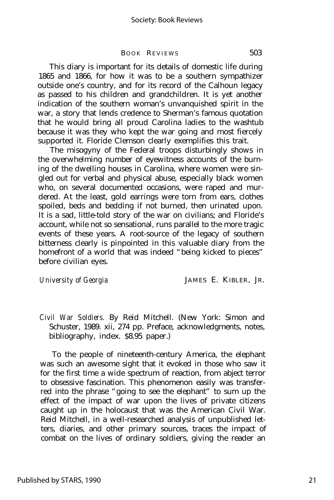This diary is important for its details of domestic life during 1865 and 1866, for how it was to be a southern sympathizer outside one's country, and for its record of the Calhoun legacy as passed to his children and grandchildren. It is yet another indication of the southern woman's unvanquished spirit in the war, a story that lends credence to Sherman's famous quotation that he would bring all proud Carolina ladies to the washtub because it was they who kept the war going and most fiercely supported it. Floride Clemson clearly exemplifies this trait.

The misogyny of the Federal troops disturbingly shows in the overwhelming number of eyewitness accounts of the burning of the dwelling houses in Carolina, where women were singled out for verbal and physical abuse, especially black women who, on several documented occasions, were raped and murdered. At the least, gold earrings were torn from ears, clothes spoiled, beds and bedding if not burned, then urinated upon. It is a sad, little-told story of the war on civilians; and Floride's account, while not so sensational, runs parallel to the more tragic events of these years. A root-source of the legacy of southern bitterness clearly is pinpointed in this valuable diary from the homefront of a world that was indeed "being kicked to pieces" before civilian eyes.

*University of Georgia* JAMES E. KIBLER, JR.

*Civil War Soldiers.* By Reid Mitchell. (New York: Simon and Schuster, 1989. xii, 274 pp. Preface, acknowledgments, notes, bibliography, index. \$8.95 paper.)

To the people of nineteenth-century America, the elephant was such an awesome sight that it evoked in those who saw it for the first time a wide spectrum of reaction, from abject terror to obsessive fascination. This phenomenon easily was transferred into the phrase "going to see the elephant" to sum up the effect of the impact of war upon the lives of private citizens caught up in the holocaust that was the American Civil War. Reid Mitchell, in a well-researched analysis of unpublished letters, diaries, and other primary sources, traces the impact of combat on the lives of ordinary soldiers, giving the reader an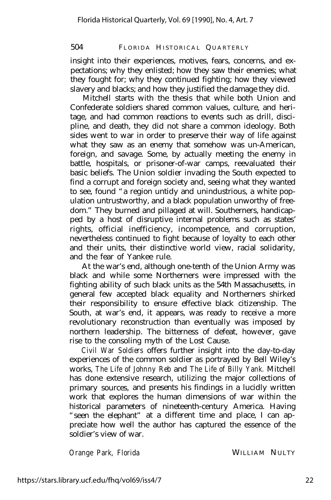insight into their experiences, motives, fears, concerns, and expectations; why they enlisted; how they saw their enemies; what they fought for; why they continued fighting; how they viewed slavery and blacks; and how they justified the damage they did.

Mitchell starts with the thesis that while both Union and Confederate soldiers shared common values, culture, and heritage, and had common reactions to events such as drill, discipline, and death, they did not share a common ideology. Both sides went to war in order to preserve their way of life against what they saw as an enemy that somehow was un-American, foreign, and savage. Some, by actually meeting the enemy in battle, hospitals, or prisoner-of-war camps, reevaluated their basic beliefs. The Union soldier invading the South expected to find a corrupt and foreign society and, seeing what they wanted to see, found "a region untidy and unindustrious, a white population untrustworthy, and a black population unworthy of freedom." They burned and pillaged at will. Southerners, handicapped by a host of disruptive internal problems such as states' rights, official inefficiency, incompetence, and corruption, nevertheless continued to fight because of loyalty to each other and their units, their distinctive world view, racial solidarity, and the fear of Yankee rule.

At the war's end, although one-tenth of the Union Army was black and while some Northerners were impressed with the fighting ability of such black units as the 54th Massachusetts, in general few accepted black equality and Northerners shirked their responsibility to ensure effective black citizenship. The South, at war's end, it appears, was ready to receive a more revolutionary reconstruction than eventually was imposed by northern leadership. The bitterness of defeat, however, gave rise to the consoling myth of the Lost Cause.

*Civil War Soldiers* offers further insight into the day-to-day experiences of the common soldier as portrayed by Bell Wiley's works, *The Life of Johnny Reb* and *The Life of Billy Yank.* Mitchell has done extensive research, utilizing the major collections of primary sources, and presents his findings in a lucidly written work that explores the human dimensions of war within the historical parameters of nineteenth-century America. Having "seen the elephant" at a different time and place, I can appreciate how well the author has captured the essence of the soldier's view of war.

*Orange Park, Florida* WILLIAM NULTY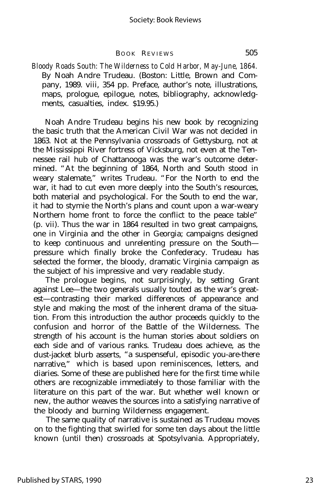*Bloody Roads South: The Wilderness to Cold Harbor, May-June, 1864.* By Noah Andre Trudeau. (Boston: Little, Brown and Company, 1989. viii, 354 pp. Preface, author's note, illustrations, maps, prologue, epilogue, notes, bibliography, acknowledgments, casualties, index. \$19.95.)

Noah Andre Trudeau begins his new book by recognizing the basic truth that the American Civil War was not decided in 1863. Not at the Pennsylvania crossroads of Gettysburg, not at the Mississippi River fortress of Vicksburg, not even at the Tennessee rail hub of Chattanooga was the war's outcome determined. "At the beginning of 1864, North and South stood in weary stalemate," writes Trudeau. "For the North to end the war, it had to cut even more deeply into the South's resources, both material and psychological. For the South to end the war, it had to stymie the North's plans and count upon a war-weary Northern home front to force the conflict to the peace table" (p. vii). Thus the war in 1864 resulted in two great campaigns, one in Virginia and the other in Georgia; campaigns designed to keep continuous and unrelenting pressure on the South pressure which finally broke the Confederacy. Trudeau has selected the former, the bloody, dramatic Virginia campaign as the subject of his impressive and very readable study.

The prologue begins, not surprisingly, by setting Grant against Lee— the two generals usually touted as the war's greatest— contrasting their marked differences of appearance and style and making the most of the inherent drama of the situation. From this introduction the author proceeds quickly to the confusion and horror of the Battle of the Wilderness. The strength of his account is the human stories about soldiers on each side and of various ranks. Trudeau does achieve, as the dust-jacket blurb asserts, "a suspenseful, episodic you-are-there narrative," which is based upon reminiscences, letters, and diaries. Some of these are published here for the first time while others are recognizable immediately to those familiar with the literature on this part of the war. But whether well known or new, the author weaves the sources into a satisfying narrative of the bloody and burning Wilderness engagement.

The same quality of narrative is sustained as Trudeau moves on to the fighting that swirled for some ten days about the little known (until then) crossroads at Spotsylvania. Appropriately,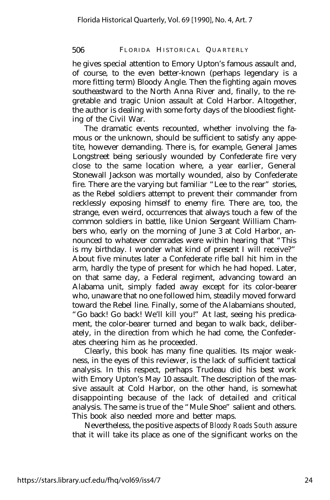he gives special attention to Emory Upton's famous assault and, of course, to the even better-known (perhaps legendary is a more fitting term) Bloody Angle. Then the fighting again moves southeastward to the North Anna River and, finally, to the regretable and tragic Union assault at Cold Harbor. Altogether, the author is dealing with some forty days of the bloodiest fighting of the Civil War.

The dramatic events recounted, whether involving the famous or the unknown, should be sufficient to satisfy any appetite, however demanding. There is, for example, General James Longstreet being seriously wounded by Confederate fire very close to the same location where, a year earlier, General Stonewall Jackson was mortally wounded, also by Confederate fire. There are the varying but familiar "Lee to the rear" stories, as the Rebel soldiers attempt to prevent their commander from recklessly exposing himself to enemy fire. There are, too, the strange, even weird, occurrences that always touch a few of the common soldiers in battle, like Union Sergeant William Chambers who, early on the morning of June 3 at Cold Harbor, announced to whatever comrades were within hearing that "This is my birthday. I wonder what kind of present I will receive?" About five minutes later a Confederate rifle ball hit him in the arm, hardly the type of present for which he had hoped. Later, on that same day, a Federal regiment, advancing toward an Alabama unit, simply faded away except for its color-bearer who, unaware that no one followed him, steadily moved forward toward the Rebel line. Finally, some of the Alabamians shouted, "Go back! Go back! We'll kill you!" At last, seeing his predicament, the color-bearer turned and began to walk back, deliberately, in the direction from which he had come, the Confederates cheering him as he proceeded.

Clearly, this book has many fine qualities. Its major weakness, in the eyes of this reviewer, is the lack of sufficient tactical analysis. In this respect, perhaps Trudeau did his best work with Emory Upton's May 10 assault. The description of the massive assault at Cold Harbor, on the other hand, is somewhat disappointing because of the lack of detailed and critical analysis. The same is true of the "Mule Shoe" salient and others. This book also needed more and better maps.

Nevertheless, the positive aspects of *Bloody Roads South* assure that it will take its place as one of the significant works on the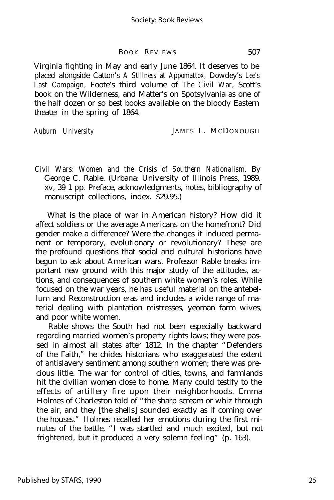Virginia fighting in May and early June 1864. It deserves to be placed alongside Catton's *A Stillness at Appomattox,* Dowdey's *Lee's Last Campaign,* Foote's third volume of *The Civil War,* Scott's book on the Wilderness, and Matter's on Spotsylvania as one of the half dozen or so best books available on the bloody Eastern theater in the spring of 1864.

*Auburn University* JAMES L. MCDONOUGH

*Civil Wars: Women and the Crisis of Southern Nationalism.* By George C. Rable. (Urbana: University of Illinois Press, 1989. xv, 39 1 pp. Preface, acknowledgments, notes, bibliography of manuscript collections, index. \$29.95.)

What is the place of war in American history? How did it affect soldiers or the average Americans on the homefront? Did gender make a difference? Were the changes it induced permanent or temporary, evolutionary or revolutionary? These are the profound questions that social and cultural historians have begun to ask about American wars. Professor Rable breaks important new ground with this major study of the attitudes, actions, and consequences of southern white women's roles. While focused on the war years, he has useful material on the antebellum and Reconstruction eras and includes a wide range of material dealing with plantation mistresses, yeoman farm wives, and poor white women.

Rable shows the South had not been especially backward regarding married women's property rights laws; they were passed in almost all states after 1812. In the chapter "Defenders of the Faith," he chides historians who exaggerated the extent of antislavery sentiment among southern women; there was precious little. The war for control of cities, towns, and farmlands hit the civilian women close to home. Many could testify to the effects of artillery fire upon their neighborhoods. Emma Holmes of Charleston told of "the sharp scream or whiz through the air, and they [the shells] sounded exactly as if coming over the houses." Holmes recalled her emotions during the first minutes of the battle, "I was startled and much excited, but not frightened, but it produced a very solemn feeling" (p. 163).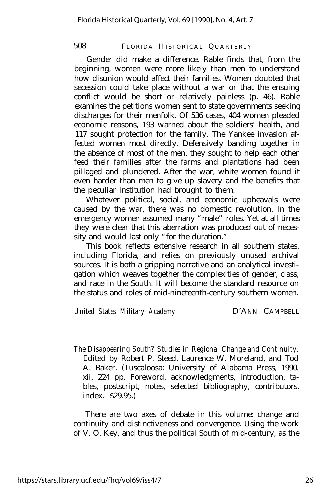Gender did make a difference. Rable finds that, from the beginning, women were more likely than men to understand how disunion would affect their families. Women doubted that secession could take place without a war or that the ensuing conflict would be short or relatively painless (p. 46). Rable examines the petitions women sent to state governments seeking discharges for their menfolk. Of 536 cases, 404 women pleaded economic reasons, 193 warned about the soldiers' health, and 117 sought protection for the family. The Yankee invasion affected women most directly. Defensively banding together in the absence of most of the men, they sought to help each other feed their families after the farms and plantations had been pillaged and plundered. After the war, white women found it even harder than men to give up slavery and the benefits that the peculiar institution had brought to them.

Whatever political, social, and economic upheavals were caused by the war, there was no domestic revolution. In the emergency women assumed many "male" roles. Yet at all times they were clear that this aberration was produced out of necessity and would last only "for the duration."

This book reflects extensive research in all southern states, including Florida, and relies on previously unused archival sources. It is both a gripping narrative and an analytical investigation which weaves together the complexities of gender, class, and race in the South. It will become the standard resource on the status and roles of mid-nineteenth-century southern women.

*United States Military Academy* D'ANN CAMPBELL

*The Disappearing South? Studies in Regional Change and Continuity.* Edited by Robert P. Steed, Laurence W. Moreland, and Tod A. Baker. (Tuscaloosa: University of Alabama Press, 1990. xii, 224 pp. Foreword, acknowledgments, introduction, tables, postscript, notes, selected bibliography, contributors, index. \$29.95.)

There are two axes of debate in this volume: change and continuity and distinctiveness and convergence. Using the work of V. O. Key, and thus the political South of mid-century, as the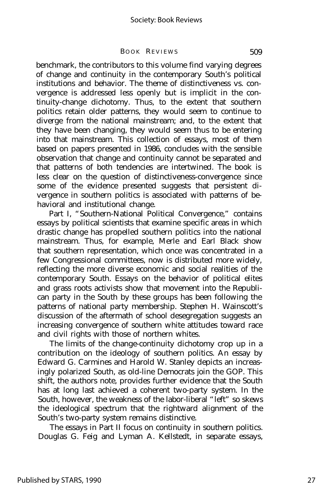benchmark, the contributors to this volume find varying degrees of change and continuity in the contemporary South's political institutions and behavior. The theme of distinctiveness vs. convergence is addressed less openly but is implicit in the continuity-change dichotomy. Thus, to the extent that southern politics retain older patterns, they would seem to continue to diverge from the national mainstream; and, to the extent that they have been changing, they would seem thus to be entering into that mainstream. This collection of essays, most of them based on papers presented in 1986, concludes with the sensible observation that change and continuity cannot be separated and that patterns of both tendencies are intertwined. The book is less clear on the question of distinctiveness-convergence since some of the evidence presented suggests that persistent divergence in southern politics is associated with patterns of behavioral and institutional change.

Part I, "Southern-National Political Convergence," contains essays by political scientists that examine specific areas in which drastic change has propelled southern politics into the national mainstream. Thus, for example, Merle and Earl Black show that southern representation, which once was concentrated in a few Congressional committees, now is distributed more widely, reflecting the more diverse economic and social realities of the contemporary South. Essays on the behavior of political elites and grass roots activists show that movement into the Republican party in the South by these groups has been following the patterns of national party membership. Stephen H. Wainscott's discussion of the aftermath of school desegregation suggests an increasing convergence of southern white attitudes toward race and civil rights with those of northern whites.

The limits of the change-continuity dichotomy crop up in a contribution on the ideology of southern politics. An essay by Edward G. Carmines and Harold W. Stanley depicts an increasingly polarized South, as old-line Democrats join the GOP. This shift, the authors note, provides further evidence that the South has at long last achieved a coherent two-party system. In the South, however, the weakness of the labor-liberal "left" so skews the ideological spectrum that the rightward alignment of the South's two-party system remains distinctive.

The essays in Part II focus on continuity in southern politics. Douglas G. Feig and Lyman A. Kellstedt, in separate essays,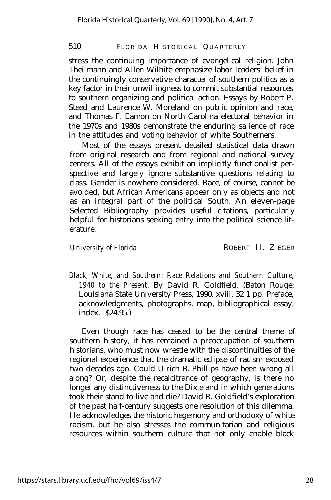stress the continuing importance of evangelical religion. John Theilmann and Allen Wilhite emphasize labor leaders' belief in the continuingly conservative character of southern politics as a key factor in their unwillingness to commit substantial resources to southern organizing and political action. Essays by Robert P. Steed and Laurence W. Moreland on public opinion and race, and Thomas F. Eamon on North Carolina electoral behavior in the 1970s and 1980s demonstrate the enduring salience of race in the attitudes and voting behavior of white Southerners.

Most of the essays present detailed statistical data drawn from original research and from regional and national survey centers. All of the essays exhibit an implicitly functionalist perspective and largely ignore substantive questions relating to class. Gender is nowhere considered. Race, of course, cannot be avoided, but African Americans appear only as objects and not as an integral part of the political South. An eleven-page Selected Bibliography provides useful citations, particularly helpful for historians seeking entry into the political science literature.

*University of Florida* ROBERT H. ZIEGER

*Black, White, and Southern: Race Relations and Southern Culture, 1940 to the Present.* By David R. Goldfield. (Baton Rouge: Louisiana State University Press, 1990. xviii, 32 1 pp. Preface, acknowledgments, photographs, map, bibliographical essay, index. \$24.95.)

Even though race has ceased to be the central theme of southern history, it has remained a preoccupation of southern historians, who must now wrestle with the discontinuities of the regional experience that the dramatic eclipse of racism exposed two decades ago. Could Ulrich B. Phillips have been wrong all along? Or, despite the recalcitrance of geography, is there no longer any distinctiveness to the Dixieland in which generations took their stand to live and die? David R. Goldfield's exploration of the past half-century suggests one resolution of this dilemma. He acknowledges the historic hegemony and orthodoxy of white racism, but he also stresses the communitarian and religious resources within southern culture that not only enable black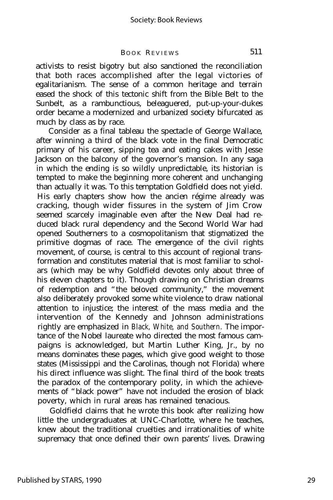activists to resist bigotry but also sanctioned the reconciliation that both races accomplished after the legal victories of egalitarianism. The sense of a common heritage and terrain eased the shock of this tectonic shift from the Bible Belt to the Sunbelt, as a rambunctious, beleaguered, put-up-your-dukes order became a modernized and urbanized society bifurcated as much by class as by race.

Consider as a final tableau the spectacle of George Wallace, after winning a third of the black vote in the final Democratic primary of his career, sipping tea and eating cakes with Jesse Jackson on the balcony of the governor's mansion. In any saga in which the ending is so wildly unpredictable, its historian is tempted to make the beginning more coherent and unchanging than actually it was. To this temptation Goldfield does not yield. His early chapters show how the ancien régime already was cracking, though wider fissures in the system of Jim Crow seemed scarcely imaginable even after the New Deal had reduced black rural dependency and the Second World War had opened Southerners to a cosmopolitanism that stigmatized the primitive dogmas of race. The emergence of the civil rights movement, of course, is central to this account of regional transformation and constitutes material that is most familiar to scholars (which may be why Goldfield devotes only about three of his eleven chapters to it). Though drawing on Christian dreams of redemption and "the beloved community," the movement also deliberately provoked some white violence to draw national attention to injustice; the interest of the mass media and the intervention of the Kennedy and Johnson administrations rightly are emphasized in *Black, White, and Southern.* The importance of the Nobel laureate who directed the most famous campaigns is acknowledged, but Martin Luther King, Jr., by no means dominates these pages, which give good weight to those states (Mississippi and the Carolinas, though not Florida) where his direct influence was slight. The final third of the book treats the paradox of the contemporary polity, in which the achievements of "black power" have not included the erosion of black poverty, which in rural areas has remained tenacious.

Goldfield claims that he wrote this book after realizing how little the undergraduates at UNC-Charlotte, where he teaches, knew about the traditional cruelties and irrationalities of white supremacy that once defined their own parents' lives. Drawing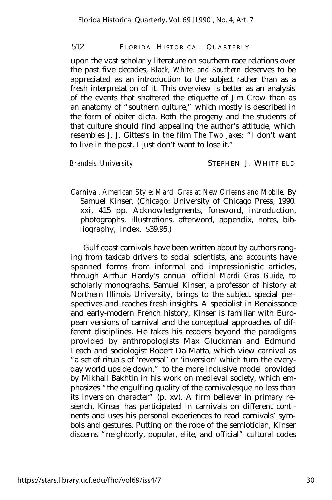upon the vast scholarly literature on southern race relations over the past five decades, *Black, White, and Southern* deserves to be appreciated as an introduction to the subject rather than as a fresh interpretation of it. This overview is better as an analysis of the events that shattered the etiquette of Jim Crow than as an anatomy of "southern culture," which mostly is described in the form of obiter dicta. Both the progeny and the students of that culture should find appealing the author's attitude, which resembles J. J. Gittes's in the film *The Two Jakes:* "I don't want to live in the past. I just don't want to lose it."

*Brandeis University* STEPHEN J. WHITFIELD

*Carnival, American Style: Mardi Gras at New Orleans and Mobile.* By Samuel Kinser. (Chicago: University of Chicago Press, 1990. xxi, 415 pp. Acknowledgments, foreword, introduction, photographs, illustrations, afterword, appendix, notes, bibliography, index. \$39.95.)

Gulf coast carnivals have been written about by authors ranging from taxicab drivers to social scientists, and accounts have spanned forms from informal and impressionistic articles, through Arthur Hardy's annual official *Mardi Gras Guide,* to scholarly monographs. Samuel Kinser, a professor of history at Northern Illinois University, brings to the subject special perspectives and reaches fresh insights. A specialist in Renaissance and early-modern French history, Kinser is familiar with European versions of carnival and the conceptual approaches of different disciplines. He takes his readers beyond the paradigms provided by anthropologists Max Gluckman and Edmund Leach and sociologist Robert Da Matta, which view carnival as "a set of rituals of 'reversal' or 'inversion' which turn the everyday world upside down," to the more inclusive model provided by Mikhail Bakhtin in his work on medieval society, which emphasizes "the engulfing quality of the carnivalesque no less than its inversion character" (p. xv). A firm believer in primary research, Kinser has participated in carnivals on different continents and uses his personal experiences to read carnivals' symbols and gestures. Putting on the robe of the semiotician, Kinser discerns "neighborly, popular, elite, and official" cultural codes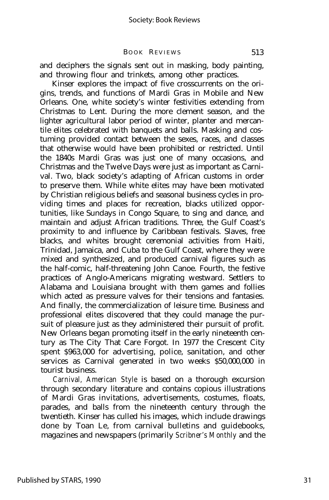and deciphers the signals sent out in masking, body painting, and throwing flour and trinkets, among other practices.

Kinser explores the impact of five crosscurrents on the origins, trends, and functions of Mardi Gras in Mobile and New Orleans. One, white society's winter festivities extending from Christmas to Lent. During the more clement season, and the lighter agricultural labor period of winter, planter and mercantile elites celebrated with banquets and balls. Masking and costuming provided contact between the sexes, races, and classes that otherwise would have been prohibited or restricted. Until the 1840s Mardi Gras was just one of many occasions, and Christmas and the Twelve Days were just as important as Carnival. Two, black society's adapting of African customs in order to preserve them. While white elites may have been motivated by Christian religious beliefs and seasonal business cycles in providing times and places for recreation, blacks utilized opportunities, like Sundays in Congo Square, to sing and dance, and maintain and adjust African traditions. Three, the Gulf Coast's proximity to and influence by Caribbean festivals. Slaves, free blacks, and whites brought ceremonial activities from Haiti, Trinidad, Jamaica, and Cuba to the Gulf Coast, where they were mixed and synthesized, and produced carnival figures such as the half-comic, half-threatening John Canoe. Fourth, the festive practices of Anglo-Americans migrating westward. Settlers to Alabama and Louisiana brought with them games and follies which acted as pressure valves for their tensions and fantasies. And finally, the commercialization of leisure time. Business and professional elites discovered that they could manage the pursuit of pleasure just as they administered their pursuit of profit. New Orleans began promoting itself in the early nineteenth century as The City That Care Forgot. In 1977 the Crescent City spent \$963,000 for advertising, police, sanitation, and other services as Carnival generated in two weeks \$50,000,000 in tourist business.

*Carnival, American Style* is based on a thorough excursion through secondary literature and contains copious illustrations of Mardi Gras invitations, advertisements, costumes, floats, parades, and balls from the nineteenth century through the twentieth. Kinser has culled his images, which include drawings done by Toan Le, from carnival bulletins and guidebooks, magazines and newspapers (primarily *Scribner's Monthly* and the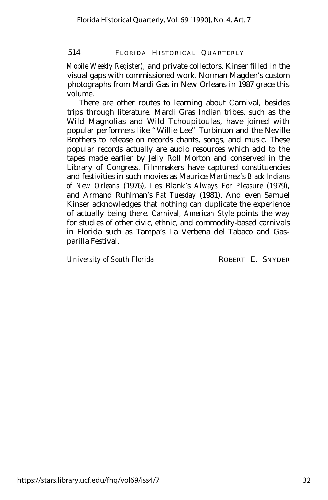*Mobile Weekly Register),* and private collectors. Kinser filled in the visual gaps with commissioned work. Norman Magden's custom photographs from Mardi Gas in New Orleans in 1987 grace this volume.

There are other routes to learning about Carnival, besides trips through literature. Mardi Gras Indian tribes, such as the Wild Magnolias and Wild Tchoupitoulas, have joined with popular performers like "Willie Lee" Turbinton and the Neville Brothers to release on records chants, songs, and music. These popular records actually are audio resources which add to the tapes made earlier by Jelly Roll Morton and conserved in the Library of Congress. Filmmakers have captured constituencies and festivities in such movies as Maurice Martinez's *Black Indians of New Orleans* (1976), Les Blank's *Always For Pleasure* (1979), and Armand Ruhlman's *Fat Tuesday* (1981). And even Samuel Kinser acknowledges that nothing can duplicate the experience of actually being there. *Carnival, American Style* points the way for studies of other civic, ethnic, and commodity-based carnivals in Florida such as Tampa's La Verbena del Tabaco and Gasparilla Festival.

*University of South Florida* ROBERT E. SNYDER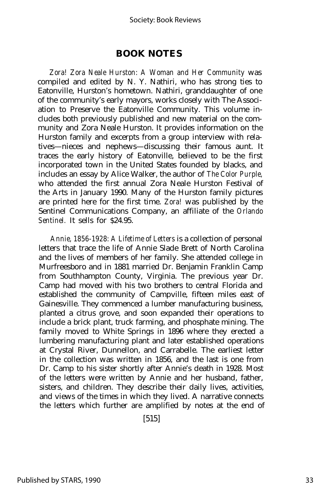# **BOOK NOTES**

*Zora! Zora Neale Hurston: A Woman and Her Community* was compiled and edited by N. Y. Nathiri, who has strong ties to Eatonville, Hurston's hometown. Nathiri, granddaughter of one of the community's early mayors, works closely with The Association to Preserve the Eatonville Community. This volume includes both previously published and new material on the community and Zora Neale Hurston. It provides information on the Hurston family and excerpts from a group interview with relatives— nieces and nephews— discussing their famous aunt. It traces the early history of Eatonville, believed to be the first incorporated town in the United States founded by blacks, and includes an essay by Alice Walker, the author of *The Color Purple,* who attended the first annual Zora Neale Hurston Festival of the Arts in January 1990. Many of the Hurston family pictures are printed here for the first time. *Zora!* was published by the Sentinel Communications Company, an affiliate of the *Orlando Sentinel.* It sells for \$24.95.

*Annie, 1856-1928: A Lifetime of Letters* is a collection of personal letters that trace the life of Annie Slade Brett of North Carolina and the lives of members of her family. She attended college in Murfreesboro and in 1881 married Dr. Benjamin Franklin Camp from Southhampton County, Virginia. The previous year Dr. Camp had moved with his two brothers to central Florida and established the community of Campville, fifteen miles east of Gainesville. They commenced a lumber manufacturing business, planted a citrus grove, and soon expanded their operations to include a brick plant, truck farming, and phosphate mining. The family moved to White Springs in 1896 where they erected a lumbering manufacturing plant and later established operations at Crystal River, Dunnellon, and Carrabelle. The earliest letter in the collection was written in 1856, and the last is one from Dr. Camp to his sister shortly after Annie's death in 1928. Most of the letters were written by Annie and her husband, father, sisters, and children. They describe their daily lives, activities, and views of the times in which they lived. A narrative connects the letters which further are amplified by notes at the end of

[515]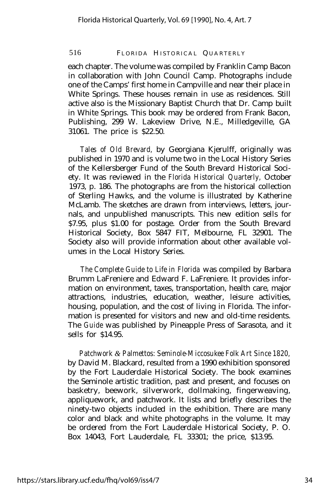each chapter. The volume was compiled by Franklin Camp Bacon in collaboration with John Council Camp. Photographs include one of the Camps' first home in Campville and near their place in White Springs. These houses remain in use as residences. Still active also is the Missionary Baptist Church that Dr. Camp built in White Springs. This book may be ordered from Frank Bacon, Publishing, 299 W. Lakeview Drive, N.E., Milledgeville, GA 31061. The price is \$22.50.

*Tales of Old Brevard,* by Georgiana Kjerulff, originally was published in 1970 and is volume two in the Local History Series of the Kellersberger Fund of the South Brevard Historical Society. It was reviewed in the *Florida Historical Quarterly,* October 1973, p. 186. The photographs are from the historical collection of Sterling Hawks, and the volume is illustrated by Katherine McLamb. The sketches are drawn from interviews, letters, journals, and unpublished manuscripts. This new edition sells for \$7.95, plus \$1.00 for postage. Order from the South Brevard Historical Society, Box 5847 FIT, Melbourne, FL 32901. The Society also will provide information about other available volumes in the Local History Series.

*The Complete Guide to Life in Florida* was compiled by Barbara Brumm LaFreniere and Edward F. LaFreniere. It provides information on environment, taxes, transportation, health care, major attractions, industries, education, weather, leisure activities, housing, population, and the cost of living in Florida. The information is presented for visitors and new and old-time residents. The *Guide* was published by Pineapple Press of Sarasota, and it sells for \$14.95.

*Patchwork & Palmettos: Seminole-Miccosukee Folk Art Since 1820,* by David M. Blackard, resulted from a 1990 exhibition sponsored by the Fort Lauderdale Historical Society. The book examines the Seminole artistic tradition, past and present, and focuses on basketry, beework, silverwork, dollmaking, fingerweaving, appliquework, and patchwork. It lists and briefly describes the ninety-two objects included in the exhibition. There are many color and black and white photographs in the volume. It may be ordered from the Fort Lauderdale Historical Society, P. O. Box 14043, Fort Lauderdale, FL 33301; the price, \$13.95.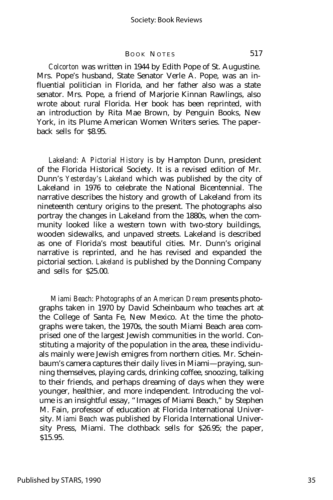# BOOK NOTES 517

*Colcorton* was written in 1944 by Edith Pope of St. Augustine. Mrs. Pope's husband, State Senator Verle A. Pope, was an influential politician in Florida, and her father also was a state senator. Mrs. Pope, a friend of Marjorie Kinnan Rawlings, also wrote about rural Florida. Her book has been reprinted, with an introduction by Rita Mae Brown, by Penguin Books, New York, in its Plume American Women Writers series. The paperback sells for \$8.95.

*Lakeland: A Pictorial History* is by Hampton Dunn, president of the Florida Historical Society. It is a revised edition of Mr. Dunn's *Yesterday's Lakeland* which was published by the city of Lakeland in 1976 to celebrate the National Bicentennial. The narrative describes the history and growth of Lakeland from its nineteenth century origins to the present. The photographs also portray the changes in Lakeland from the 1880s, when the community looked like a western town with two-story buildings, wooden sidewalks, and unpaved streets. Lakeland is described as one of Florida's most beautiful cities. Mr. Dunn's original narrative is reprinted, and he has revised and expanded the pictorial section. *Lakeland* is published by the Donning Company and sells for \$25.00.

*Miami Beach: Photographs of an American Dream* presents photographs taken in 1970 by David Scheinbaum who teaches art at the College of Santa Fe, New Mexico. At the time the photographs were taken, the 1970s, the south Miami Beach area comprised one of the largest Jewish communities in the world. Constituting a majority of the population in the area, these individuals mainly were Jewish emigres from northern cities. Mr. Scheinbaum's camera captures their daily lives in Miami— praying, sunning themselves, playing cards, drinking coffee, snoozing, talking to their friends, and perhaps dreaming of days when they were younger, healthier, and more independent. Introducing the volume is an insightful essay, "Images of Miami Beach," by Stephen M. Fain, professor of education at Florida International University. *Miami Beach* was published by Florida International University Press, Miami. The clothback sells for \$26.95; the paper, \$15.95.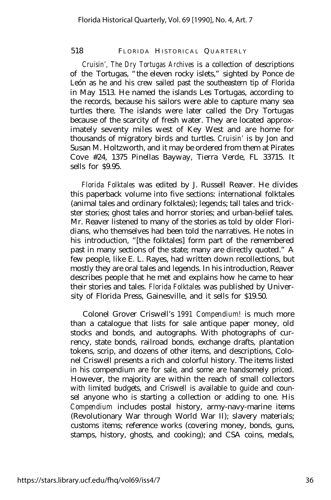*Cruisin', The Dry Tortugas Archives* is a collection of descriptions of the Tortugas, "the eleven rocky islets," sighted by Ponce de León as he and his crew sailed past the southeastern tip of Florida in May 1513. He named the islands Les Tortugas, according to the records, because his sailors were able to capture many sea turtles there. The islands were later called the Dry Tortugas because of the scarcity of fresh water. They are located approximately seventy miles west of Key West and are home for thousands of migratory birds and turtles. *Cruisin'* is by Jon and Susan M. Holtzworth, and it may be ordered from them at Pirates Cove #24, 1375 Pinellas Bayway, Tierra Verde, FL 33715. It sells for \$9.95.

*Florida Folktales* was edited by J. Russell Reaver. He divides this paperback volume into five sections: international folktales (animal tales and ordinary folktales); legends; tall tales and trickster stories; ghost tales and horror stories; and urban-belief tales. Mr. Reaver listened to many of the stories as told by older Floridians, who themselves had been told the narratives. He notes in his introduction, "[the folktales] form part of the remembered past in many sections of the state; many are directly quoted." A few people, like E. L. Rayes, had written down recollections, but mostly they are oral tales and legends. In his introduction, Reaver describes people that he met and explains how he came to hear their stories and tales. *Florida Folktales* was published by University of Florida Press, Gainesville, and it sells for \$19.50.

Colonel Grover Criswell's *1991 Compendium!* is much more than a catalogue that lists for sale antique paper money, old stocks and bonds, and autographs. With photographs of currency, state bonds, railroad bonds, exchange drafts, plantation tokens, scrip, and dozens of other items, and descriptions, Colonel Criswell presents a rich and colorful history. The items listed in his compendium are for sale, and some are handsomely priced. However, the majority are within the reach of small collectors with limited budgets, and Criswell is available to guide and counsel anyone who is starting a collection or adding to one. His *Compendium* includes postal history, army-navy-marine items (Revolutionary War through World War II); slavery materials; customs items; reference works (covering money, bonds, guns, stamps, history, ghosts, and cooking); and CSA coins, medals,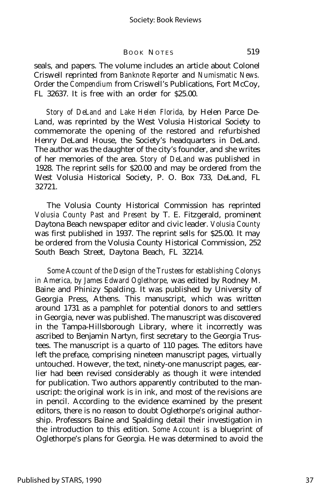# BOOK NOTES 519

seals, and papers. The volume includes an article about Colonel Criswell reprinted from *Banknote Reporter* and *Numismatic News.* Order the *Compendium* from Criswell's Publications, Fort McCoy, FL 32637. It is free with an order for \$25.00.

*Story of DeLand and Lake Helen Florida,* by Helen Parce De-Land, was reprinted by the West Volusia Historical Society to commemorate the opening of the restored and refurbished Henry DeLand House, the Society's headquarters in DeLand. The author was the daughter of the city's founder, and she writes of her memories of the area. *Story of DeLand* was published in 1928. The reprint sells for \$20.00 and may be ordered from the West Volusia Historical Society, P. O. Box 733, DeLand, FL 32721.

The Volusia County Historical Commission has reprinted *Volusia County Past and Present* by T. E. Fitzgerald, prominent Daytona Beach newspaper editor and civic leader. *Volusia County* was first published in 1937. The reprint sells for \$25.00. It may be ordered from the Volusia County Historical Commission, 252 South Beach Street, Daytona Beach, FL 32214.

*Some Account of the Design of the Trustees for establishing Colonys in America, by James Edward Oglethorpe,* was edited by Rodney M. Baine and Phinizy Spalding. It was published by University of Georgia Press, Athens. This manuscript, which was written around 1731 as a pamphlet for potential donors to and settlers in Georgia, never was published. The manuscript was discovered in the Tampa-Hillsborough Library, where it incorrectly was ascribed to Benjamin Nartyn, first secretary to the Georgia Trustees. The manuscript is a quarto of 110 pages. The editors have left the preface, comprising nineteen manuscript pages, virtually untouched. However, the text, ninety-one manuscript pages, earlier had been revised considerably as though it were intended for publication. Two authors apparently contributed to the manuscript: the original work is in ink, and most of the revisions are in pencil. According to the evidence examined by the present editors, there is no reason to doubt Oglethorpe's original authorship. Professors Baine and Spalding detail their investigation in the introduction to this edition. *Some Account* is a blueprint of Oglethorpe's plans for Georgia. He was determined to avoid the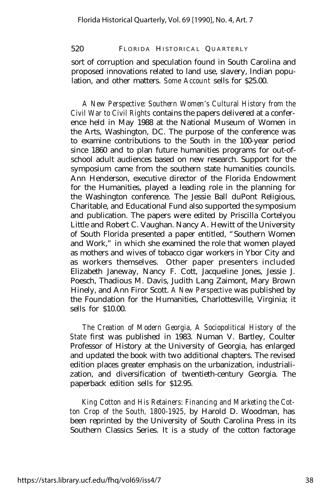sort of corruption and speculation found in South Carolina and proposed innovations related to land use, slavery, Indian population, and other matters. *Some Account* sells for \$25.00.

*A New Perspective: Southern Women's Cultural History from the Civil War to Civil Rights* contains the papers delivered at a conference held in May 1988 at the National Museum of Women in the Arts, Washington, DC. The purpose of the conference was to examine contributions to the South in the 100-year period since 1860 and to plan future humanities programs for out-ofschool adult audiences based on new research. Support for the symposium came from the southern state humanities councils. Ann Henderson, executive director of the Florida Endowment for the Humanities, played a leading role in the planning for the Washington conference. The Jessie Ball duPont Religious, Charitable, and Educational Fund also supported the symposium and publication. The papers were edited by Priscilla Cortelyou Little and Robert C. Vaughan. Nancy A. Hewitt of the University of South Florida presented a paper entitled, "Southern Women and Work," in which she examined the role that women played as mothers and wives of tobacco cigar workers in Ybor City and as workers themselves. Other paper presenters included Elizabeth Janeway, Nancy F. Cott, Jacqueline Jones, Jessie J. Poesch, Thadious M. Davis, Judith Lang Zaimont, Mary Brown Hinely, and Ann Firor Scott. *A New Perspective* was published by the Foundation for the Humanities, Charlottesville, Virginia; it sells for \$10.00.

*The Creation of Modern Georgia, A Sociopolitical History of the State* first was published in 1983. Numan V. Bartley, Coulter Professor of History at the University of Georgia, has enlarged and updated the book with two additional chapters. The revised edition places greater emphasis on the urbanization, industrialization, and diversification of twentieth-century Georgia. The paperback edition sells for \$12.95.

*King Cotton and His Retainers: Financing and Marketing the Cotton Crop of the South, 1800-1925,* by Harold D. Woodman, has been reprinted by the University of South Carolina Press in its Southern Classics Series. It is a study of the cotton factorage